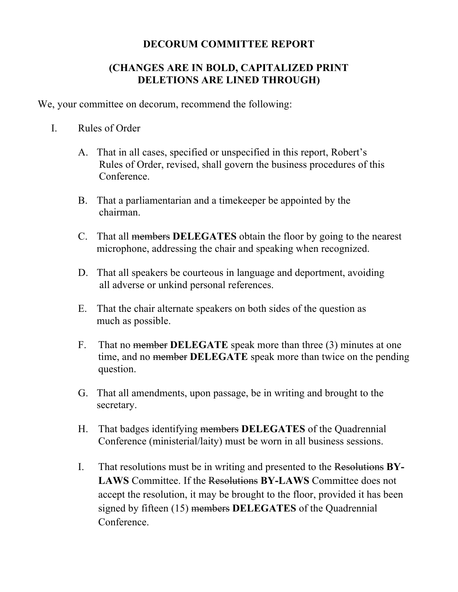## **DECORUM COMMITTEE REPORT**

## **(CHANGES ARE IN BOLD, CAPITALIZED PRINT DELETIONS ARE LINED THROUGH)**

We, your committee on decorum, recommend the following:

- I. Rules of Order
	- A. That in all cases, specified or unspecified in this report, Robert's Rules of Order, revised, shall govern the business procedures of this Conference.
	- B. That a parliamentarian and a timekeeper be appointed by the chairman.
	- C. That all members **DELEGATES** obtain the floor by going to the nearest microphone, addressing the chair and speaking when recognized.
	- D. That all speakers be courteous in language and deportment, avoiding all adverse or unkind personal references.
	- E. That the chair alternate speakers on both sides of the question as much as possible.
	- F. That no member **DELEGATE** speak more than three (3) minutes at one time, and no member **DELEGATE** speak more than twice on the pending question.
	- G. That all amendments, upon passage, be in writing and brought to the secretary.
	- H. That badges identifying members **DELEGATES** of the Quadrennial Conference (ministerial/laity) must be worn in all business sessions.
	- I. That resolutions must be in writing and presented to the Resolutions **BY-LAWS** Committee. If the Resolutions **BY-LAWS** Committee does not accept the resolution, it may be brought to the floor, provided it has been signed by fifteen (15) members **DELEGATES** of the Quadrennial **Conference**